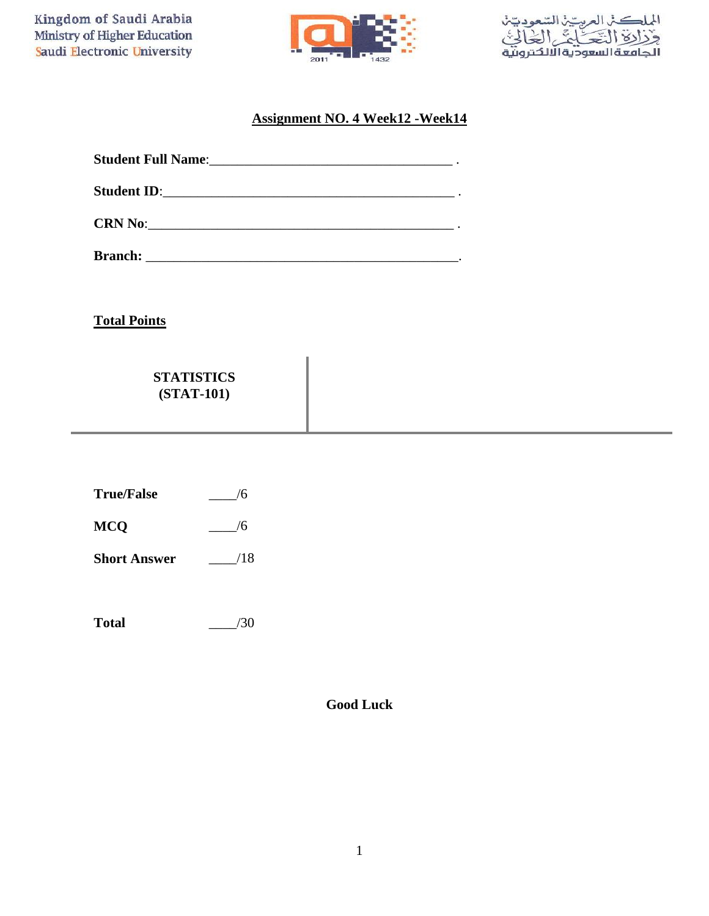Kingdom of Saudi Arabia Ministry of Higher Education Saudi Electronic University





## **Assignment NO. 4 Week12 -Week14**

**Total Points**

**MCQ**

| <b>STATISTICS</b> |
|-------------------|
| $(STAT-101)$      |

| <b>True/False</b> |  |
|-------------------|--|
|                   |  |

**Short Answer**  $-$ /18

 $\frac{1}{6}$ 

**Total** \_\_\_\_/30

**Good Luck**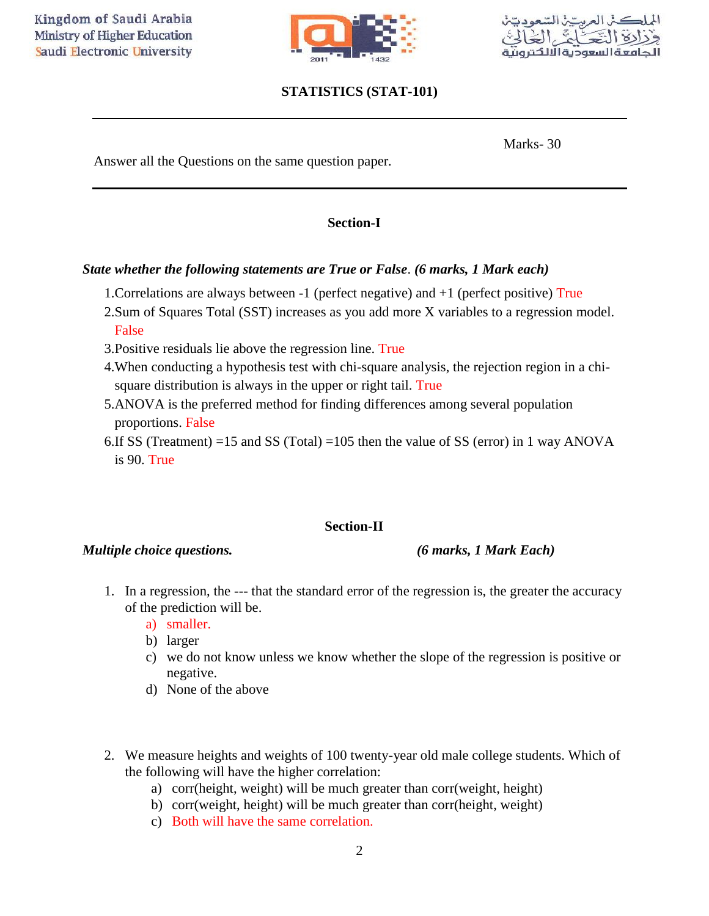

# **STATISTICS (STAT-101)**



Marks- 30

Answer all the Questions on the same question paper*.*

### **Section-I**

### *State whether the following statements are True or False*. *(6 marks, 1 Mark each)*

- 1.Correlations are always between -1 (perfect negative) and +1 (perfect positive) True
- 2.Sum of Squares Total (SST) increases as you add more X variables to a regression model. False
- 3.Positive residuals lie above the regression line. True
- 4.When conducting a hypothesis test with chi-square analysis, the rejection region in a chisquare distribution is always in the upper or right tail. True
- 5.ANOVA is the preferred method for finding differences among several population proportions. False
- 6.If SS (Treatment) =15 and SS (Total) =105 then the value of SS (error) in 1 way ANOVA is 90. True

### **Section-II**

### *Multiple choice questions. (6 marks, 1 Mark Each)*

- 1. In a regression, the --- that the standard error of the regression is, the greater the accuracy of the prediction will be.
	- a) smaller.
	- b) larger
	- c) we do not know unless we know whether the slope of the regression is positive or negative.
	- d) None of the above
- 2. We measure heights and weights of 100 twenty-year old male college students. Which of the following will have the higher correlation:
	- a) corr(height, weight) will be much greater than corr(weight, height)
	- b) corr(weight, height) will be much greater than corr(height, weight)
	- c) Both will have the same correlation.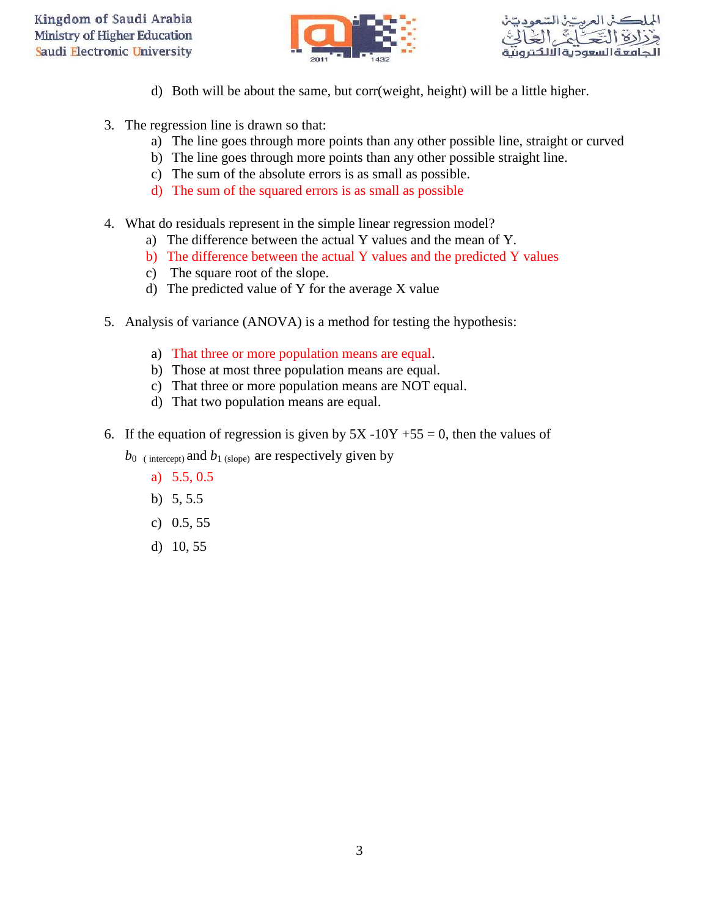



- d) Both will be about the same, but corr(weight, height) will be a little higher.
- 3. The regression line is drawn so that:
	- a) The line goes through more points than any other possible line, straight or curved
	- b) The line goes through more points than any other possible straight line.
	- c) The sum of the absolute errors is as small as possible.
	- d) The sum of the squared errors is as small as possible
- 4. What do residuals represent in the simple linear regression model?
	- a) The difference between the actual Y values and the mean of Y.
	- b) The difference between the actual Y values and the predicted Y values
	- c) The square root of the slope.
	- d) The predicted value of Y for the average X value
- 5. Analysis of variance (ANOVA) is a method for testing the hypothesis:
	- a) That three or more population means are equal.
	- b) Those at most three population means are equal.
	- c) That three or more population means are NOT equal.
	- d) That two population means are equal.
- 6. If the equation of regression is given by  $5X 10Y + 55 = 0$ , then the values of
	- $b_0$  (intercept) and  $b_1$  (slope) are respectively given by
		- a) 5.5, 0.5
		- b) 5, 5.5
		- c) 0.5, 55
		- d) 10, 55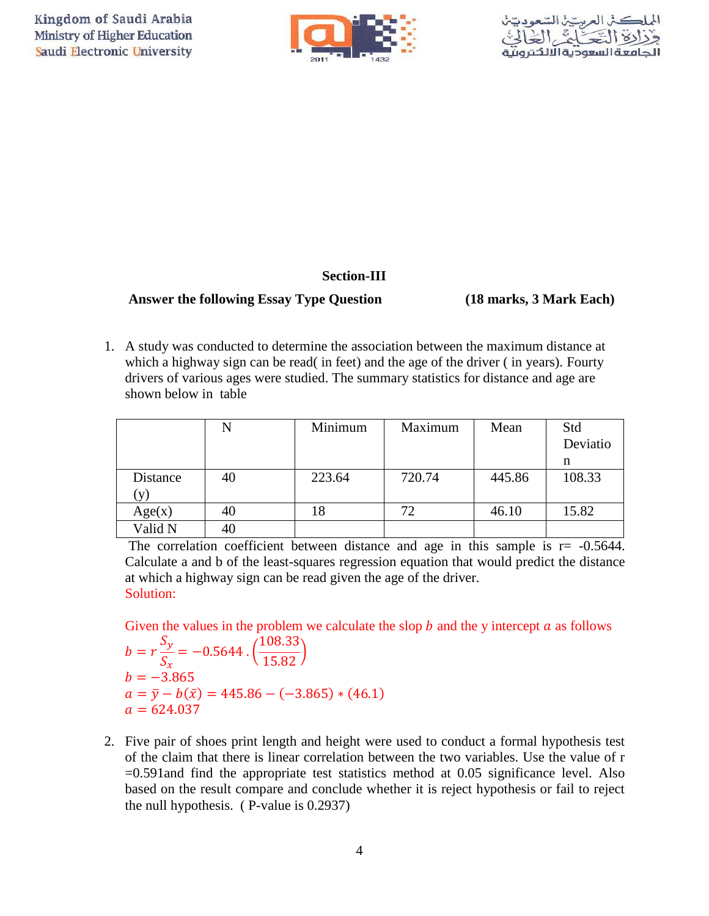



### **Section-III**

### **Answer the following Essay Type Question (18 marks, 3 Mark Each)**

1. A study was conducted to determine the association between the maximum distance at which a highway sign can be read( in feet) and the age of the driver ( in years). Fourty drivers of various ages were studied. The summary statistics for distance and age are shown below in table

|          |    | Minimum | Maximum | Mean   | Std      |
|----------|----|---------|---------|--------|----------|
|          |    |         |         |        | Deviatio |
|          |    |         |         |        | n        |
| Distance | 40 | 223.64  | 720.74  | 445.86 | 108.33   |
| V)       |    |         |         |        |          |
| Age(x)   | 40 | 18      | 72      | 46.10  | 15.82    |
| Valid N  | 40 |         |         |        |          |

The correlation coefficient between distance and age in this sample is  $r = -0.5644$ . Calculate a and b of the least-squares regression equation that would predict the distance at which a highway sign can be read given the age of the driver. Solution:

Given the values in the problem we calculate the slop  $b$  and the y intercept  $a$  as follows

 $\boldsymbol{b}$  $\mathcal{S}_{0}^{(n)}$  $\mathcal{S}_{\mathcal{S}}$  $=-0.5644$ .  $\mathbf{1}$  $\frac{15.82}{}$  $b = -3.865$  $a = \overline{y} - b(\overline{x}) = 445.86 - (-3.865) * (46.1)$  $a = 624.037$ 

2. Five pair of shoes print length and height were used to conduct a formal hypothesis test of the claim that there is linear correlation between the two variables. Use the value of r =0.591and find the appropriate test statistics method at 0.05 significance level. Also based on the result compare and conclude whether it is reject hypothesis or fail to reject the null hypothesis. ( P-value is 0.2937)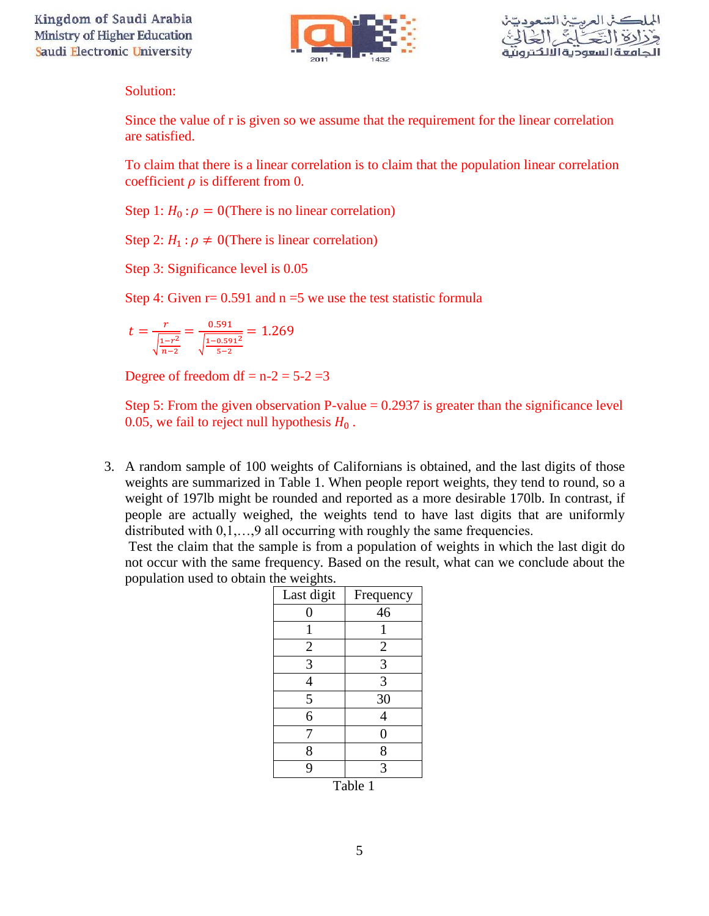

Solution:

Since the value of r is given so we assume that the requirement for the linear correlation are satisfied.

To claim that there is a linear correlation is to claim that the population linear correlation coefficient  $\rho$  is different from 0.

Step 1:  $H_0: \rho = 0$ (There is no linear correlation)

Step 2:  $H_1$ :  $\rho \neq 0$ (There is linear correlation)

Step 3: Significance level is 0.05

Step 4: Given  $r = 0.591$  and  $n = 5$  we use the test statistic formula

$$
t = \frac{r}{\sqrt{\frac{1-r^2}{n-2}}} = \frac{0.591}{\sqrt{\frac{1-0.591^2}{5-2}}} = 1.269
$$

Degree of freedom df =  $n-2 = 5-2 = 3$ 

Step 5: From the given observation P-value  $= 0.2937$  is greater than the significance level 0.05, we fail to reject null hypothesis  $H_0$ .

3. A random sample of 100 weights of Californians is obtained, and the last digits of those weights are summarized in Table 1. When people report weights, they tend to round, so a weight of 197lb might be rounded and reported as a more desirable 170lb. In contrast, if people are actually weighed, the weights tend to have last digits that are uniformly distributed with  $0,1,...,9$  all occurring with roughly the same frequencies.

Test the claim that the sample is from a population of weights in which the last digit do not occur with the same frequency. Based on the result, what can we conclude about the population used to obtain the weights.

| Last digit     | Frequency                   |
|----------------|-----------------------------|
| 0              | 46                          |
|                |                             |
| $\overline{c}$ | $\overline{2}$              |
| $\overline{3}$ | 3                           |
| $\overline{4}$ | 3                           |
| $\overline{5}$ | 30                          |
| 6              | 4                           |
| 7              | $\boldsymbol{0}$            |
| 8              | 8                           |
| 9              | 3                           |
| --             | $\mathbf{H}$<br><b>1.</b> 4 |

Table 1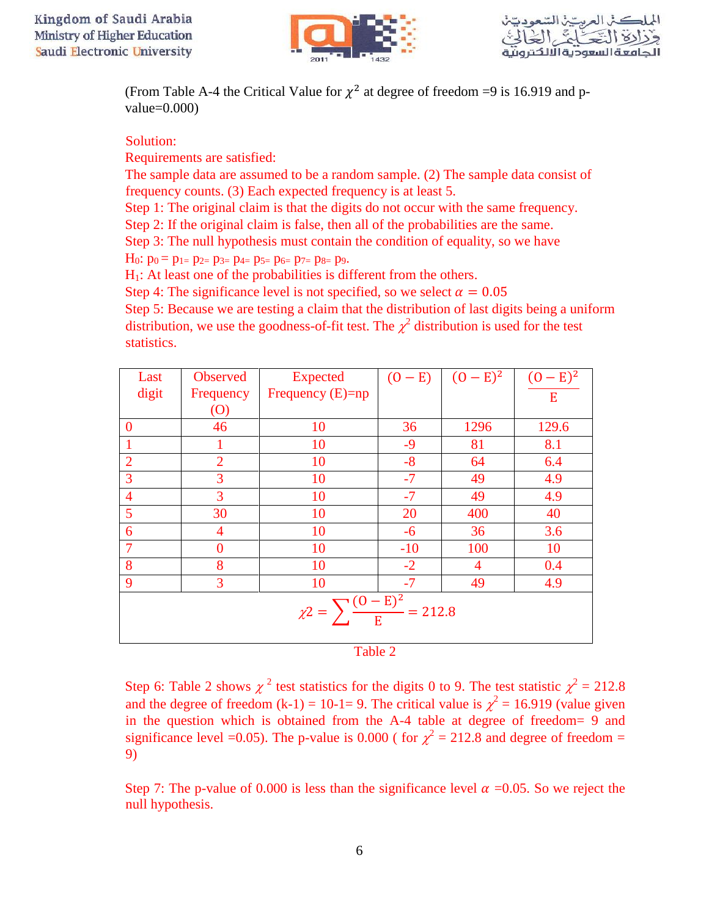



(From Table A-4 the Critical Value for  $\chi^2$  at degree of freedom =9 is 16.919 and pvalue=0.000)

### Solution:

Requirements are satisfied:

The sample data are assumed to be a random sample. (2) The sample data consist of frequency counts. (3) Each expected frequency is at least 5.

Step 1: The original claim is that the digits do not occur with the same frequency. Step 2: If the original claim is false, then all of the probabilities are the same.

Step 3: The null hypothesis must contain the condition of equality, so we have

 $H_0: p_0 = p_{1} = p_{2} = p_{3} = p_{4} = p_{5} = p_{6} = p_{7} = p_{8} = p_{9}.$ 

 $H<sub>1</sub>$ : At least one of the probabilities is different from the others.

Step 4: The significance level is not specified, so we select  $\alpha = 0.05$ 

Step 5: Because we are testing a claim that the distribution of last digits being a uniform distribution, we use the goodness-of-fit test. The  $\chi^2$  distribution is used for the test statistics.

| Last                                               | <b>Observed</b>   | Expected           | $(0 - E)$ | $(0 - E)^2$    | $(0 - E)^2$ |
|----------------------------------------------------|-------------------|--------------------|-----------|----------------|-------------|
| digit                                              | Frequency         | Frequency $(E)=np$ |           |                | E           |
|                                                    | $\left( 0\right)$ |                    |           |                |             |
| $\bf{0}$                                           | 46                | 10                 | 36        | 1296           | 129.6       |
|                                                    |                   | 10                 | $-9$      | 81             | 8.1         |
| $\overline{2}$                                     | $\overline{2}$    | 10                 | $-8$      | 64             | 6.4         |
| 3                                                  | 3                 | 10                 | $-7$      | 49             | 4.9         |
| $\overline{4}$                                     | 3                 | 10                 | $-7$      | 49             | 4.9         |
| 5                                                  | 30                | 10                 | 20        | 400            | 40          |
| 6                                                  | $\overline{4}$    | 10                 | $-6$      | 36             | 3.6         |
| $\overline{7}$                                     | $\theta$          | 10                 | $-10$     | 100            | 10          |
| 8                                                  | 8                 | 10                 | $-2$      | $\overline{4}$ | 0.4         |
| 9                                                  | 3                 | 10                 | $-7$      | 49             | 4.9         |
| $\chi$ 2 = $\sum \frac{(0 - E)^2}{E}$<br>$= 212.8$ |                   |                    |           |                |             |

| . .<br>- 3<br>× | w<br>۰. |  |
|-----------------|---------|--|

Step 6: Table 2 shows  $\chi^2$  test statistics for the digits 0 to 9. The test statistic  $\chi^2 = 212.8$ and the degree of freedom (k-1) = 10-1= 9. The critical value is  $\chi^2$  = 16.919 (value given in the question which is obtained from the A-4 table at degree of freedom= 9 and significance level =0.05). The p-value is 0.000 ( for  $\chi^2 = 212.8$  and degree of freedom = 9)

Step 7: The p-value of 0.000 is less than the significance level  $\alpha =0.05$ . So we reject the null hypothesis.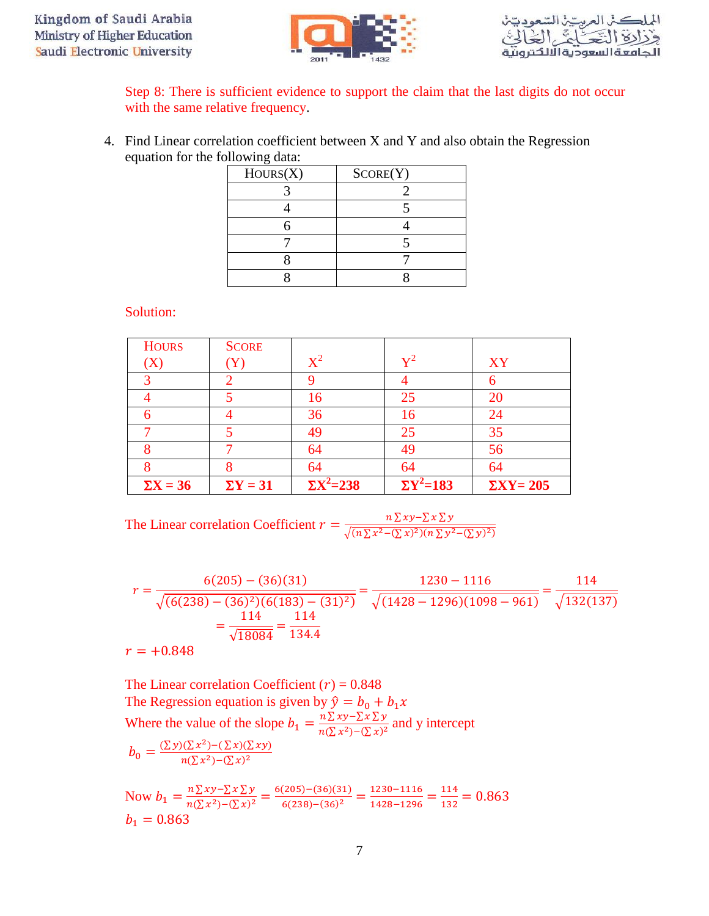



Step 8: There is sufficient evidence to support the claim that the last digits do not occur with the same relative frequency.

4. Find Linear correlation coefficient between X and Y and also obtain the Regression equation for the following data:

| Hours(X) | SCORE(Y) |
|----------|----------|
|          |          |
|          |          |
|          |          |
|          |          |
|          |          |
|          |          |

Solution:

| <b>HOURS</b>    | <b>SCORE</b>    |                    |                            |                   |
|-----------------|-----------------|--------------------|----------------------------|-------------------|
| $\rm(X)$        | (Y)             | $X^2$              | $\mathbf{v}^2$             | XY                |
|                 |                 |                    |                            | n                 |
|                 |                 | 16                 | 25                         | 20                |
| 6               |                 | 36                 | 16                         | 24                |
|                 |                 | 49                 | 25                         | 35                |
|                 |                 | 64                 | 49                         | 56                |
|                 | 8               | 64                 | 64                         | 64                |
| $\Sigma X = 36$ | $\Sigma$ Y = 31 | $\Sigma X^2 = 238$ | $\overline{\Sigma}Y^2=183$ | $\Sigma XY = 205$ |

The Linear correlation Coefficient 
$$
r = \frac{n \sum xy - \sum x \sum y}{\sqrt{(n \sum x^2 - (\sum x)^2)(n \sum y^2 - (\sum y)^2)}}
$$

$$
r = \frac{6(205) - (36)(31)}{\sqrt{(6(238) - (36)^2)(6(183) - (31)^2)}} = \frac{1230 - 1116}{\sqrt{(1428 - 1296)(1098 - 961)}} = \frac{114}{\sqrt{132(137)}}
$$

$$
r = +0.848
$$

$$
r = +0.848
$$

The Linear correlation Coefficient  $(r) = 0.848$ The Regression equation is given by  $\hat{y} =$ Where the value of the slope  $b_1 = \frac{n \sum xy - \sum x \sum y}{n \sum x^2}$  $\frac{n \sum xy - \sum x \sum y}{n(\sum x^2) - (\sum x)^2}$  and y intercept  $b_0 = \frac{(\sum y)(\sum x^2) - (\sum x)(\sum xy)}{n(\sum x^2) - (\sum x)^2}$  $n(\sum x^2) - (\sum x)^2$ 

Now  $b_1 = \frac{n \sum xy - \sum x \sum y}{n(\sum y_i^2) - (\sum y_i^2)^2}$  $n(\sum x^2) - (\sum x)^2$  $6(205) - (36)(31)$  $6(238) - (36)^2$  $\mathbf{1}$  $\frac{1230-1116}{1428-1296} = \frac{1}{1}$  $\frac{114}{132}$  =  $b_1 = 0.863$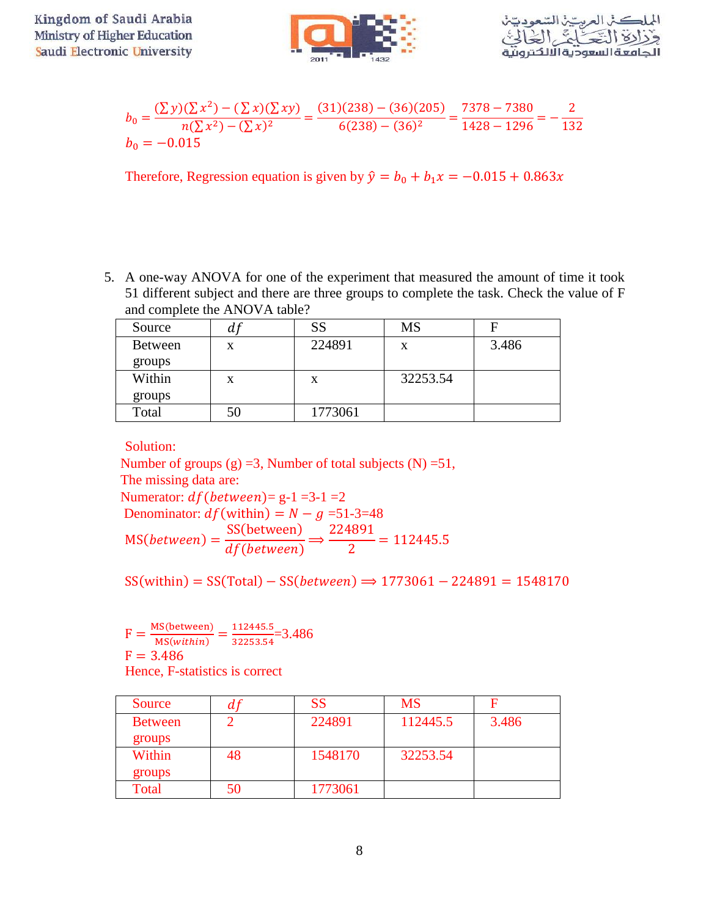

$$
b_0 = \frac{(\sum y)(\sum x^2) - (\sum x)(\sum xy)}{n(\sum x^2) - (\sum x)^2} = \frac{(31)(238) - (36)(205)}{6(238) - (36)^2} = \frac{7378 - 7380}{1428 - 1296} = -\frac{2}{132}
$$
  

$$
b_0 = -0.015
$$

Therefore, Regression equation is given by  $\hat{y} = b_0 + b_1 x = -0.015 + 0.863x$ 

5. A one-way ANOVA for one of the experiment that measured the amount of time it took 51 different subject and there are three groups to complete the task. Check the value of F and complete the ANOVA table?

| Source         | a j | SS      | <b>MS</b> | F     |
|----------------|-----|---------|-----------|-------|
| <b>Between</b> | X   | 224891  | X         | 3.486 |
| groups         |     |         |           |       |
| Within         | X   | X       | 32253.54  |       |
| groups         |     |         |           |       |
| Total          | 50  | 1773061 |           |       |

Solution:

Number of groups  $(g) = 3$ , Number of total subjects  $(N) = 51$ , The missing data are: Numerator:  $df(between) = g-1 = 3-1 = 2$ Denominator:  $df$  (within) =  $N - g$  =51-3=48  $MS(between) =$ SS(between) df(between)  $\Rightarrow$  $\overline{c}$  $\overline{c}$  $=$ 

 $SS(within) = SS(Total) - SS(between) \implies 1773061 - 224891 = 1548170$ 

 $F = \frac{MS(between)}{MS(cuthlin)}$  $\frac{MS(between)}{MS(within)} = \frac{1}{3}$  $\frac{112443.5}{32253.54} = 3.486$  $F = 3.486$ Hence, F-statistics is correct

| Source         | a i | SS      | <b>MS</b> |       |
|----------------|-----|---------|-----------|-------|
| <b>Between</b> |     | 224891  | 112445.5  | 3.486 |
| groups         |     |         |           |       |
| Within         | 48  | 1548170 | 32253.54  |       |
| groups         |     |         |           |       |
| Total          | 50  | 1773061 |           |       |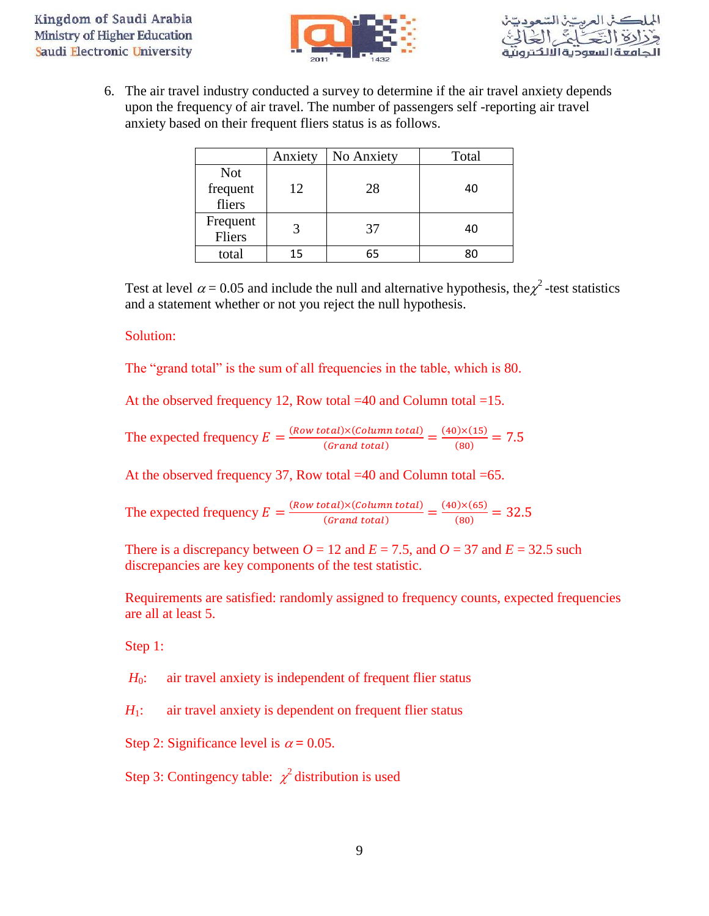



6. The air travel industry conducted a survey to determine if the air travel anxiety depends upon the frequency of air travel. The number of passengers self -reporting air travel anxiety based on their frequent fliers status is as follows.

|                                  | Anxiety | No Anxiety | Total |
|----------------------------------|---------|------------|-------|
| <b>Not</b><br>frequent<br>fliers | 12      | 28         | 40    |
| Frequent<br>Fliers               |         | 37         | 40    |
| total                            | 15      | 65         |       |

Test at level  $\alpha$  = 0.05 and include the null and alternative hypothesis, the  $\chi^2$ -test statistics and a statement whether or not you reject the null hypothesis.

### Solution:

The "grand total" is the sum of all frequencies in the table, which is 80.

At the observed frequency 12, Row total =40 and Column total =15.

The expected frequency 
$$
E = \frac{(Row total) \times (Column total)}{(Grand total)} = \frac{(40) \times (15)}{(80)} = 7.5
$$

At the observed frequency 37, Row total =40 and Column total =65.

The expected frequency 
$$
E = \frac{(Row total) \times (Column total)}{(Grand total)} = \frac{(40) \times (65)}{(80)} = 32.5
$$

There is a discrepancy between  $O = 12$  and  $E = 7.5$ , and  $O = 37$  and  $E = 32.5$  such discrepancies are key components of the test statistic.

Requirements are satisfied: randomly assigned to frequency counts, expected frequencies are all at least 5.

Step 1:

*H*<sub>0</sub>: air travel anxiety is independent of frequent flier status

*H*<sub>1</sub>: air travel anxiety is dependent on frequent flier status

Step 2: Significance level is  $\alpha = 0.05$ .

Step 3: Contingency table:  $\chi^2$  distribution is used